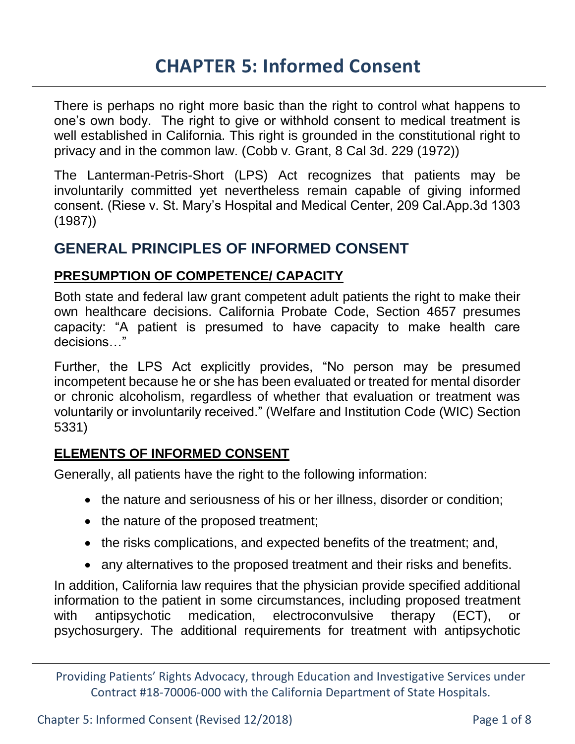There is perhaps no right more basic than the right to control what happens to one's own body. The right to give or withhold consent to medical treatment is well established in California. This right is grounded in the constitutional right to privacy and in the common law. (Cobb v. Grant, 8 Cal 3d. 229 (1972))

The Lanterman-Petris-Short (LPS) Act recognizes that patients may be involuntarily committed yet nevertheless remain capable of giving informed consent. (Riese v. St. Mary's Hospital and Medical Center, 209 Cal.App.3d 1303 (1987))

## **GENERAL PRINCIPLES OF INFORMED CONSENT**

## **PRESUMPTION OF COMPETENCE/ CAPACITY**

Both state and federal law grant competent adult patients the right to make their own healthcare decisions. California Probate Code, Section 4657 presumes capacity: "A patient is presumed to have capacity to make health care decisions…"

Further, the LPS Act explicitly provides, "No person may be presumed incompetent because he or she has been evaluated or treated for mental disorder or chronic alcoholism, regardless of whether that evaluation or treatment was voluntarily or involuntarily received." (Welfare and Institution Code (WIC) Section 5331)

## **ELEMENTS OF INFORMED CONSENT**

Generally, all patients have the right to the following information:

- the nature and seriousness of his or her illness, disorder or condition;
- the nature of the proposed treatment;
- the risks complications, and expected benefits of the treatment; and,
- any alternatives to the proposed treatment and their risks and benefits.

In addition, California law requires that the physician provide specified additional information to the patient in some circumstances, including proposed treatment with antipsychotic medication, electroconvulsive therapy (ECT), or psychosurgery. The additional requirements for treatment with antipsychotic

Providing Patients' Rights Advocacy, through Education and Investigative Services under Contract #18-70006-000 with the California Department of State Hospitals.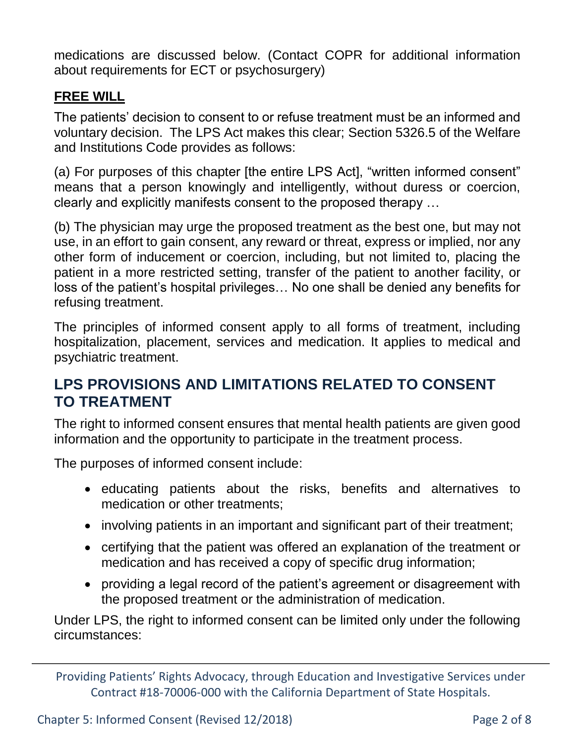medications are discussed below. (Contact COPR for additional information about requirements for ECT or psychosurgery)

## **FREE WILL**

The patients' decision to consent to or refuse treatment must be an informed and voluntary decision. The LPS Act makes this clear; Section 5326.5 of the Welfare and Institutions Code provides as follows:

(a) For purposes of this chapter [the entire LPS Act], "written informed consent" means that a person knowingly and intelligently, without duress or coercion, clearly and explicitly manifests consent to the proposed therapy …

(b) The physician may urge the proposed treatment as the best one, but may not use, in an effort to gain consent, any reward or threat, express or implied, nor any other form of inducement or coercion, including, but not limited to, placing the patient in a more restricted setting, transfer of the patient to another facility, or loss of the patient's hospital privileges… No one shall be denied any benefits for refusing treatment.

The principles of informed consent apply to all forms of treatment, including hospitalization, placement, services and medication. It applies to medical and psychiatric treatment.

## **LPS PROVISIONS AND LIMITATIONS RELATED TO CONSENT TO TREATMENT**

The right to informed consent ensures that mental health patients are given good information and the opportunity to participate in the treatment process.

The purposes of informed consent include:

- educating patients about the risks, benefits and alternatives to medication or other treatments;
- involving patients in an important and significant part of their treatment;
- certifying that the patient was offered an explanation of the treatment or medication and has received a copy of specific drug information;
- providing a legal record of the patient's agreement or disagreement with the proposed treatment or the administration of medication.

Under LPS, the right to informed consent can be limited only under the following circumstances:

Providing Patients' Rights Advocacy, through Education and Investigative Services under Contract #18-70006-000 with the California Department of State Hospitals.

Chapter 5: Informed Consent (Revised 12/2018) Page 2 of 8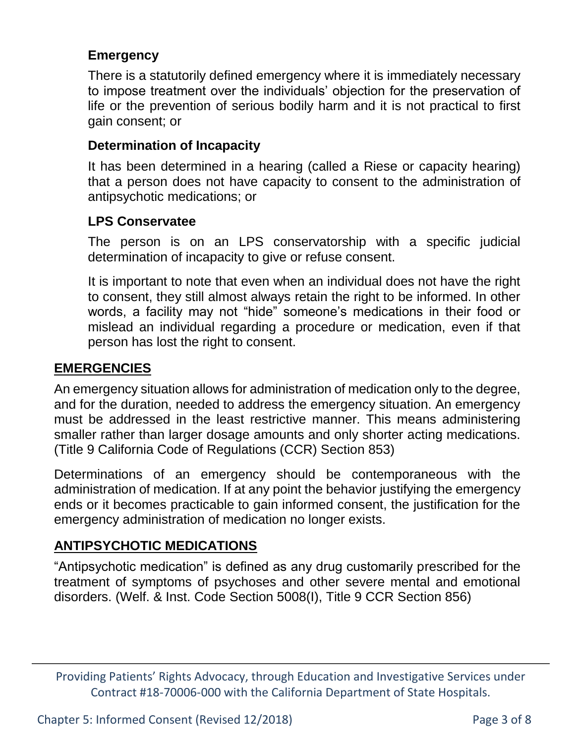#### **Emergency**

There is a statutorily defined emergency where it is immediately necessary to impose treatment over the individuals' objection for the preservation of life or the prevention of serious bodily harm and it is not practical to first gain consent; or

## **Determination of Incapacity**

It has been determined in a hearing (called a Riese or capacity hearing) that a person does not have capacity to consent to the administration of antipsychotic medications; or

## **LPS Conservatee**

The person is on an LPS conservatorship with a specific judicial determination of incapacity to give or refuse consent.

It is important to note that even when an individual does not have the right to consent, they still almost always retain the right to be informed. In other words, a facility may not "hide" someone's medications in their food or mislead an individual regarding a procedure or medication, even if that person has lost the right to consent.

#### **EMERGENCIES**

An emergency situation allows for administration of medication only to the degree, and for the duration, needed to address the emergency situation. An emergency must be addressed in the least restrictive manner. This means administering smaller rather than larger dosage amounts and only shorter acting medications. (Title 9 California Code of Regulations (CCR) Section 853)

Determinations of an emergency should be contemporaneous with the administration of medication. If at any point the behavior justifying the emergency ends or it becomes practicable to gain informed consent, the justification for the emergency administration of medication no longer exists.

## **ANTIPSYCHOTIC MEDICATIONS**

"Antipsychotic medication" is defined as any drug customarily prescribed for the treatment of symptoms of psychoses and other severe mental and emotional disorders. (Welf. & Inst. Code Section 5008(I), Title 9 CCR Section 856)

Providing Patients' Rights Advocacy, through Education and Investigative Services under Contract #18-70006-000 with the California Department of State Hospitals.

Chapter 5: Informed Consent (Revised 12/2018) Page 3 of 8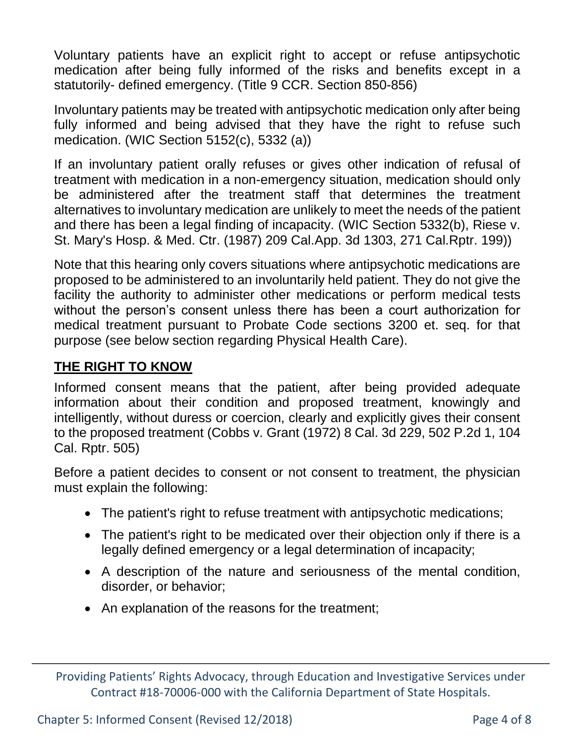Voluntary patients have an explicit right to accept or refuse antipsychotic medication after being fully informed of the risks and benefits except in a statutorily- defined emergency. (Title 9 CCR. Section 850-856)

Involuntary patients may be treated with antipsychotic medication only after being fully informed and being advised that they have the right to refuse such medication. (WIC Section 5152(c), 5332 (a))

If an involuntary patient orally refuses or gives other indication of refusal of treatment with medication in a non-emergency situation, medication should only be administered after the treatment staff that determines the treatment alternatives to involuntary medication are unlikely to meet the needs of the patient and there has been a legal finding of incapacity. (WIC Section 5332(b), Riese v. St. Mary's Hosp. & Med. Ctr. (1987) 209 Cal.App. 3d 1303, 271 Cal.Rptr. 199))

Note that this hearing only covers situations where antipsychotic medications are proposed to be administered to an involuntarily held patient. They do not give the facility the authority to administer other medications or perform medical tests without the person's consent unless there has been a court authorization for medical treatment pursuant to Probate Code sections 3200 et. seq. for that purpose (see below section regarding Physical Health Care).

## **THE RIGHT TO KNOW**

Informed consent means that the patient, after being provided adequate information about their condition and proposed treatment, knowingly and intelligently, without duress or coercion, clearly and explicitly gives their consent to the proposed treatment (Cobbs v. Grant (1972) 8 Cal. 3d 229, 502 P.2d 1, 104 Cal. Rptr. 505)

Before a patient decides to consent or not consent to treatment, the physician must explain the following:

- The patient's right to refuse treatment with antipsychotic medications;
- The patient's right to be medicated over their objection only if there is a legally defined emergency or a legal determination of incapacity;
- A description of the nature and seriousness of the mental condition, disorder, or behavior;
- An explanation of the reasons for the treatment;

Providing Patients' Rights Advocacy, through Education and Investigative Services under Contract #18-70006-000 with the California Department of State Hospitals.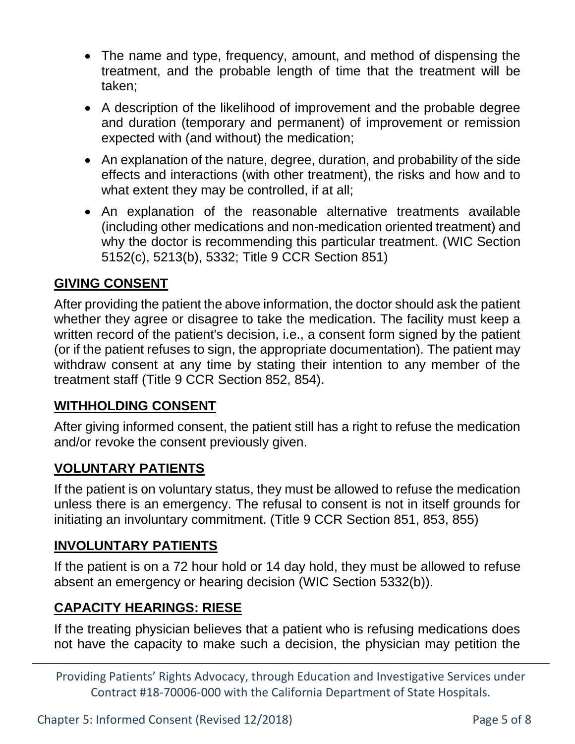- The name and type, frequency, amount, and method of dispensing the treatment, and the probable length of time that the treatment will be taken;
- A description of the likelihood of improvement and the probable degree and duration (temporary and permanent) of improvement or remission expected with (and without) the medication;
- An explanation of the nature, degree, duration, and probability of the side effects and interactions (with other treatment), the risks and how and to what extent they may be controlled, if at all;
- An explanation of the reasonable alternative treatments available (including other medications and non-medication oriented treatment) and why the doctor is recommending this particular treatment. (WIC Section 5152(c), 5213(b), 5332; Title 9 CCR Section 851)

#### **GIVING CONSENT**

After providing the patient the above information, the doctor should ask the patient whether they agree or disagree to take the medication. The facility must keep a written record of the patient's decision, i.e., a consent form signed by the patient (or if the patient refuses to sign, the appropriate documentation). The patient may withdraw consent at any time by stating their intention to any member of the treatment staff (Title 9 CCR Section 852, 854).

#### **WITHHOLDING CONSENT**

After giving informed consent, the patient still has a right to refuse the medication and/or revoke the consent previously given.

#### **VOLUNTARY PATIENTS**

If the patient is on voluntary status, they must be allowed to refuse the medication unless there is an emergency. The refusal to consent is not in itself grounds for initiating an involuntary commitment. (Title 9 CCR Section 851, 853, 855)

#### **INVOLUNTARY PATIENTS**

If the patient is on a 72 hour hold or 14 day hold, they must be allowed to refuse absent an emergency or hearing decision (WIC Section 5332(b)).

## **CAPACITY HEARINGS: RIESE**

If the treating physician believes that a patient who is refusing medications does not have the capacity to make such a decision, the physician may petition the

Providing Patients' Rights Advocacy, through Education and Investigative Services under Contract #18-70006-000 with the California Department of State Hospitals.

Chapter 5: Informed Consent (Revised 12/2018) Page 5 of 8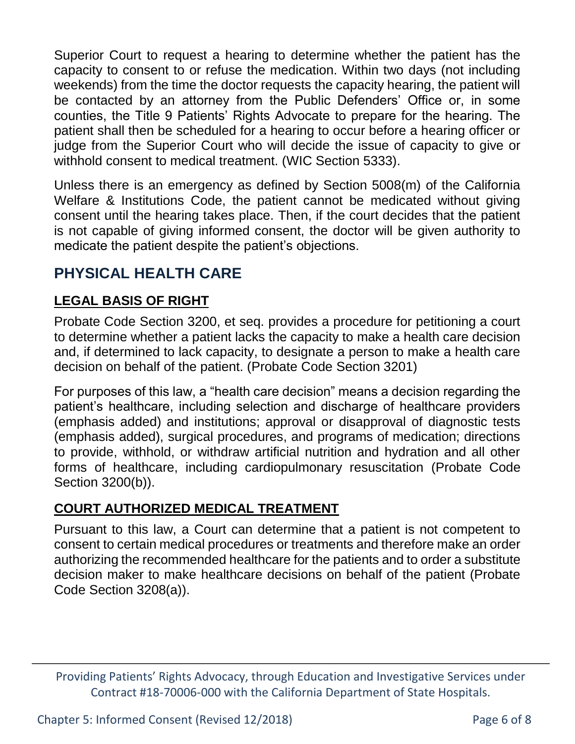Superior Court to request a hearing to determine whether the patient has the capacity to consent to or refuse the medication. Within two days (not including weekends) from the time the doctor requests the capacity hearing, the patient will be contacted by an attorney from the Public Defenders' Office or, in some counties, the Title 9 Patients' Rights Advocate to prepare for the hearing. The patient shall then be scheduled for a hearing to occur before a hearing officer or judge from the Superior Court who will decide the issue of capacity to give or withhold consent to medical treatment. (WIC Section 5333).

Unless there is an emergency as defined by Section 5008(m) of the California Welfare & Institutions Code, the patient cannot be medicated without giving consent until the hearing takes place. Then, if the court decides that the patient is not capable of giving informed consent, the doctor will be given authority to medicate the patient despite the patient's objections.

# **PHYSICAL HEALTH CARE**

## **LEGAL BASIS OF RIGHT**

Probate Code Section 3200, et seq. provides a procedure for petitioning a court to determine whether a patient lacks the capacity to make a health care decision and, if determined to lack capacity, to designate a person to make a health care decision on behalf of the patient. (Probate Code Section 3201)

For purposes of this law, a "health care decision" means a decision regarding the patient's healthcare, including selection and discharge of healthcare providers (emphasis added) and institutions; approval or disapproval of diagnostic tests (emphasis added), surgical procedures, and programs of medication; directions to provide, withhold, or withdraw artificial nutrition and hydration and all other forms of healthcare, including cardiopulmonary resuscitation (Probate Code Section 3200(b)).

## **COURT AUTHORIZED MEDICAL TREATMENT**

Pursuant to this law, a Court can determine that a patient is not competent to consent to certain medical procedures or treatments and therefore make an order authorizing the recommended healthcare for the patients and to order a substitute decision maker to make healthcare decisions on behalf of the patient (Probate Code Section 3208(a)).

Providing Patients' Rights Advocacy, through Education and Investigative Services under Contract #18-70006-000 with the California Department of State Hospitals.

Chapter 5: Informed Consent (Revised 12/2018) Page 6 of 8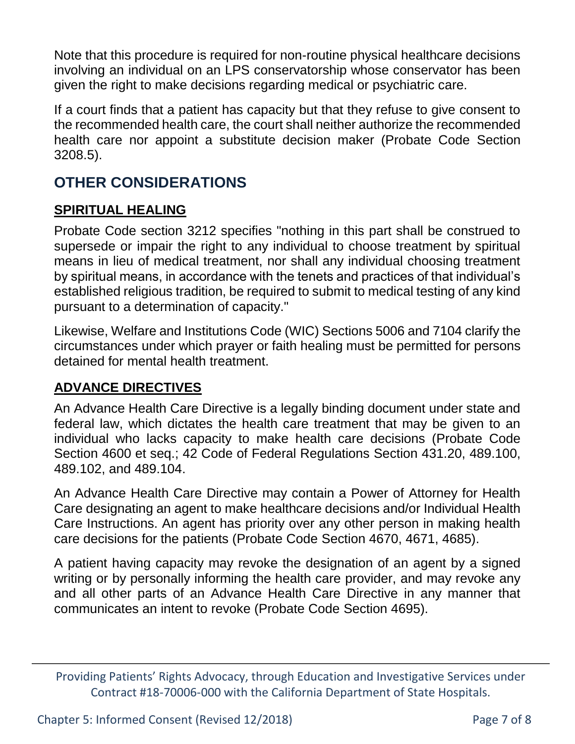Note that this procedure is required for non-routine physical healthcare decisions involving an individual on an LPS conservatorship whose conservator has been given the right to make decisions regarding medical or psychiatric care.

If a court finds that a patient has capacity but that they refuse to give consent to the recommended health care, the court shall neither authorize the recommended health care nor appoint a substitute decision maker (Probate Code Section 3208.5).

# **OTHER CONSIDERATIONS**

## **SPIRITUAL HEALING**

Probate Code section 3212 specifies "nothing in this part shall be construed to supersede or impair the right to any individual to choose treatment by spiritual means in lieu of medical treatment, nor shall any individual choosing treatment by spiritual means, in accordance with the tenets and practices of that individual's established religious tradition, be required to submit to medical testing of any kind pursuant to a determination of capacity."

Likewise, Welfare and Institutions Code (WIC) Sections 5006 and 7104 clarify the circumstances under which prayer or faith healing must be permitted for persons detained for mental health treatment.

## **ADVANCE DIRECTIVES**

An Advance Health Care Directive is a legally binding document under state and federal law, which dictates the health care treatment that may be given to an individual who lacks capacity to make health care decisions (Probate Code Section 4600 et seq.; 42 Code of Federal Regulations Section 431.20, 489.100, 489.102, and 489.104.

An Advance Health Care Directive may contain a Power of Attorney for Health Care designating an agent to make healthcare decisions and/or Individual Health Care Instructions. An agent has priority over any other person in making health care decisions for the patients (Probate Code Section 4670, 4671, 4685).

A patient having capacity may revoke the designation of an agent by a signed writing or by personally informing the health care provider, and may revoke any and all other parts of an Advance Health Care Directive in any manner that communicates an intent to revoke (Probate Code Section 4695).

Providing Patients' Rights Advocacy, through Education and Investigative Services under Contract #18-70006-000 with the California Department of State Hospitals.